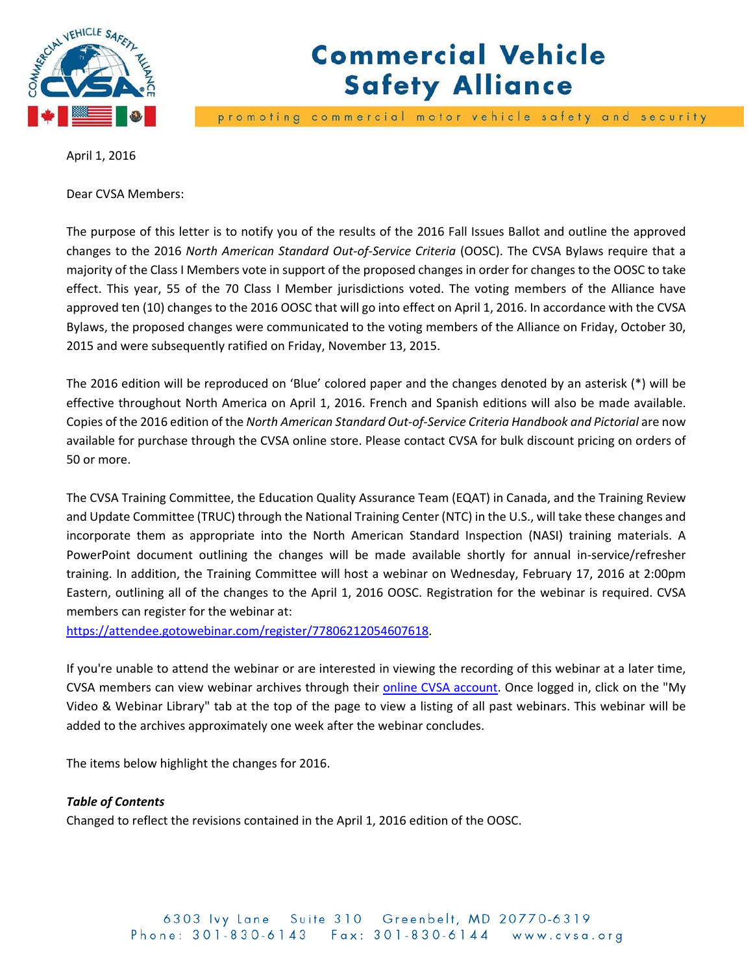

# **Commercial Vehicle Safety Alliance**

promoting commercial motor vehicle safety and security

April 1, 2016

Dear CVSA Members:

The purpose of this letter is to notify you of the results of the 2016 Fall Issues Ballot and outline the approved changes to the 2016 *North American Standard Out‐of‐Service Criteria* (OOSC). The CVSA Bylaws require that a majority of the Class I Members vote in support of the proposed changes in order for changes to the OOSC to take effect. This year, 55 of the 70 Class I Member jurisdictions voted. The voting members of the Alliance have approved ten (10) changes to the 2016 OOSC that will go into effect on April 1, 2016. In accordance with the CVSA Bylaws, the proposed changes were communicated to the voting members of the Alliance on Friday, October 30, 2015 and were subsequently ratified on Friday, November 13, 2015.

The 2016 edition will be reproduced on 'Blue' colored paper and the changes denoted by an asterisk (\*) will be effective throughout North America on April 1, 2016. French and Spanish editions will also be made available. Copies of the 2016 edition of the *North American Standard Out‐of‐Service Criteria Handbook and Pictorial* are now available for purchase through the CVSA online store. Please contact CVSA for bulk discount pricing on orders of 50 or more.

The CVSA Training Committee, the Education Quality Assurance Team (EQAT) in Canada, and the Training Review and Update Committee (TRUC) through the National Training Center (NTC) in the U.S., will take these changes and incorporate them as appropriate into the North American Standard Inspection (NASI) training materials. A PowerPoint document outlining the changes will be made available shortly for annual in‐service/refresher training. In addition, the Training Committee will host a webinar on Wednesday, February 17, 2016 at 2:00pm Eastern, outlining all of the changes to the April 1, 2016 OOSC. Registration for the webinar is required. CVSA members can register for the webinar at:

https://attendee.gotowebinar.com/register/77806212054607618.

If you're unable to attend the webinar or are interested in viewing the recording of this webinar at a later time, CVSA members can view webinar archives through their online CVSA account. Once logged in, click on the "My Video & Webinar Library" tab at the top of the page to view a listing of all past webinars. This webinar will be added to the archives approximately one week after the webinar concludes.

The items below highlight the changes for 2016.

## *Table of Contents*

Changed to reflect the revisions contained in the April 1, 2016 edition of the OOSC.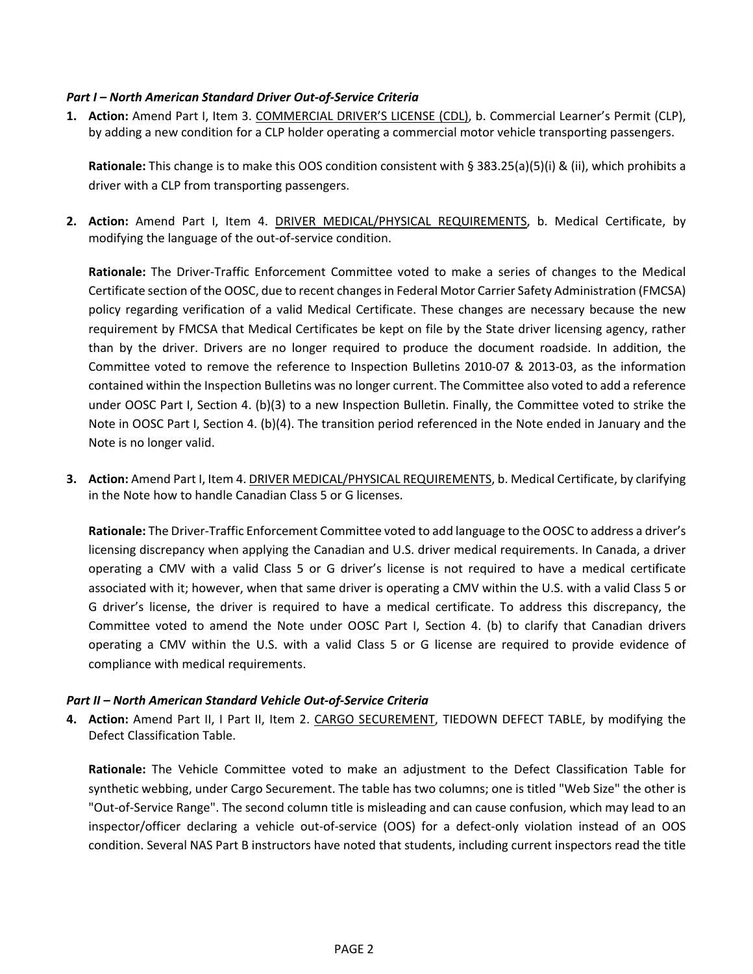### *Part I – North American Standard Driver Out‐of‐Service Criteria*

**1. Action:** Amend Part I, Item 3. COMMERCIAL DRIVER'S LICENSE (CDL), b. Commercial Learner's Permit (CLP), by adding a new condition for a CLP holder operating a commercial motor vehicle transporting passengers.

**Rationale:** This change is to make this OOS condition consistent with § 383.25(a)(5)(i) & (ii), which prohibits a driver with a CLP from transporting passengers.

**2. Action:** Amend Part I, Item 4. DRIVER MEDICAL/PHYSICAL REQUIREMENTS, b. Medical Certificate, by modifying the language of the out‐of‐service condition.

**Rationale:** The Driver‐Traffic Enforcement Committee voted to make a series of changes to the Medical Certificate section of the OOSC, due to recent changesin Federal Motor Carrier Safety Administration (FMCSA) policy regarding verification of a valid Medical Certificate. These changes are necessary because the new requirement by FMCSA that Medical Certificates be kept on file by the State driver licensing agency, rather than by the driver. Drivers are no longer required to produce the document roadside. In addition, the Committee voted to remove the reference to Inspection Bulletins 2010‐07 & 2013‐03, as the information contained within the Inspection Bulletins was no longer current. The Committee also voted to add a reference under OOSC Part I, Section 4. (b)(3) to a new Inspection Bulletin. Finally, the Committee voted to strike the Note in OOSC Part I, Section 4. (b)(4). The transition period referenced in the Note ended in January and the Note is no longer valid.

**3. Action:** Amend Part I, Item 4. DRIVER MEDICAL/PHYSICAL REQUIREMENTS, b. Medical Certificate, by clarifying in the Note how to handle Canadian Class 5 or G licenses.

**Rationale:** The Driver‐Traffic Enforcement Committee voted to add language to the OOSC to address a driver's licensing discrepancy when applying the Canadian and U.S. driver medical requirements. In Canada, a driver operating a CMV with a valid Class 5 or G driver's license is not required to have a medical certificate associated with it; however, when that same driver is operating a CMV within the U.S. with a valid Class 5 or G driver's license, the driver is required to have a medical certificate. To address this discrepancy, the Committee voted to amend the Note under OOSC Part I, Section 4. (b) to clarify that Canadian drivers operating a CMV within the U.S. with a valid Class 5 or G license are required to provide evidence of compliance with medical requirements.

## *Part II – North American Standard Vehicle Out‐of‐Service Criteria*

**4. Action:** Amend Part II, I Part II, Item 2. CARGO SECUREMENT, TIEDOWN DEFECT TABLE, by modifying the Defect Classification Table.

**Rationale:** The Vehicle Committee voted to make an adjustment to the Defect Classification Table for synthetic webbing, under Cargo Securement. The table has two columns; one is titled "Web Size" the other is "Out‐of‐Service Range". The second column title is misleading and can cause confusion, which may lead to an inspector/officer declaring a vehicle out-of-service (OOS) for a defect-only violation instead of an OOS condition. Several NAS Part B instructors have noted that students, including current inspectors read the title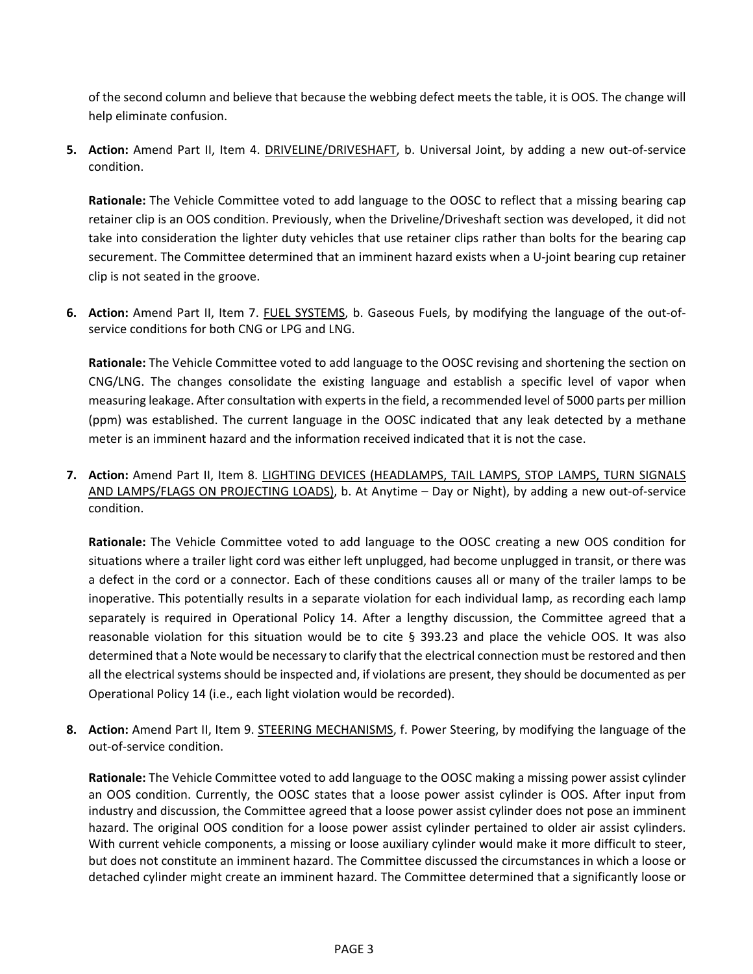of the second column and believe that because the webbing defect meets the table, it is OOS. The change will help eliminate confusion.

**5. Action:** Amend Part II, Item 4. DRIVELINE/DRIVESHAFT, b. Universal Joint, by adding a new out‐of‐service condition.

**Rationale:** The Vehicle Committee voted to add language to the OOSC to reflect that a missing bearing cap retainer clip is an OOS condition. Previously, when the Driveline/Driveshaft section was developed, it did not take into consideration the lighter duty vehicles that use retainer clips rather than bolts for the bearing cap securement. The Committee determined that an imminent hazard exists when a U-joint bearing cup retainer clip is not seated in the groove.

**6. Action:** Amend Part II, Item 7. FUEL SYSTEMS, b. Gaseous Fuels, by modifying the language of the out‐of‐ service conditions for both CNG or LPG and LNG.

**Rationale:** The Vehicle Committee voted to add language to the OOSC revising and shortening the section on CNG/LNG. The changes consolidate the existing language and establish a specific level of vapor when measuring leakage. After consultation with experts in the field, a recommended level of 5000 parts per million (ppm) was established. The current language in the OOSC indicated that any leak detected by a methane meter is an imminent hazard and the information received indicated that it is not the case.

**7. Action:** Amend Part II, Item 8. LIGHTING DEVICES (HEADLAMPS, TAIL LAMPS, STOP LAMPS, TURN SIGNALS AND LAMPS/FLAGS ON PROJECTING LOADS), b. At Anytime – Day or Night), by adding a new out‐of‐service condition.

**Rationale:** The Vehicle Committee voted to add language to the OOSC creating a new OOS condition for situations where a trailer light cord was either left unplugged, had become unplugged in transit, or there was a defect in the cord or a connector. Each of these conditions causes all or many of the trailer lamps to be inoperative. This potentially results in a separate violation for each individual lamp, as recording each lamp separately is required in Operational Policy 14. After a lengthy discussion, the Committee agreed that a reasonable violation for this situation would be to cite § 393.23 and place the vehicle OOS. It was also determined that a Note would be necessary to clarify that the electrical connection must be restored and then all the electrical systems should be inspected and, if violations are present, they should be documented as per Operational Policy 14 (i.e., each light violation would be recorded).

**8. Action:** Amend Part II, Item 9. STEERING MECHANISMS, f. Power Steering, by modifying the language of the out‐of‐service condition.

**Rationale:** The Vehicle Committee voted to add language to the OOSC making a missing power assist cylinder an OOS condition. Currently, the OOSC states that a loose power assist cylinder is OOS. After input from industry and discussion, the Committee agreed that a loose power assist cylinder does not pose an imminent hazard. The original OOS condition for a loose power assist cylinder pertained to older air assist cylinders. With current vehicle components, a missing or loose auxiliary cylinder would make it more difficult to steer, but does not constitute an imminent hazard. The Committee discussed the circumstances in which a loose or detached cylinder might create an imminent hazard. The Committee determined that a significantly loose or